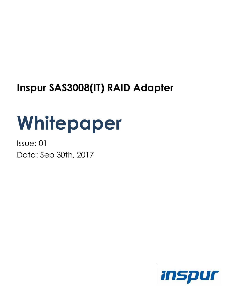# **Inspur SAS3008(IT) RAID Adapter**

# **Whitepaper**

Issue: 01 Data: Sep 30th, 2017



`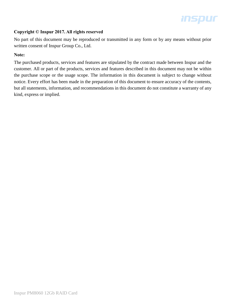# **Inspur**

#### **Copyright © Inspur 2017. All rights reserved**

No part of this document may be reproduced or transmitted in any form or by any means without prior written consent of Inspur Group Co., Ltd.

#### **Note:**

The purchased products, services and features are stipulated by the contract made between Inspur and the customer. All or part of the products, services and features described in this document may not be within the purchase scope or the usage scope. The information in this document is subject to change without notice. Every effort has been made in the preparation of this document to ensure accuracy of the contents, but all statements, information, and recommendations in this document do not constitute a warranty of any kind, express or implied.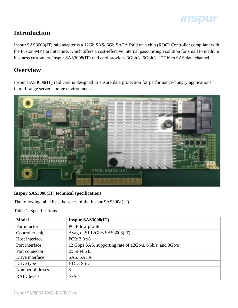

# **Introduction**

Inspur SAS3008(IT) raid adapter is a 12Gb SAS/ 6Gb SATA Raid on a chip (ROC) Controller compliant with the Fusion-MPT architecture, which offers a cost-effective internal pass-through solution for small to medium business customers. Inspur SAS3008(IT) raid card provides 3Gbit/s, 6Gbit/s, 12Gbit/s SAS data channel.

# **Overview**

Inspur SAS3008(IT) raid card is designed to ensure data protection for performance-hungry applications in mid-range server storage environments.



#### **Inspur SAS3008(IT) technical specifications**

The following table lists the specs of the Inspur SAS3008(IT)

Table 1. Specifications

| <b>Model</b>       | Inspur SAS3008(IT)                                       |
|--------------------|----------------------------------------------------------|
| Form factor        | PCIE low profile                                         |
| Controller chip    | Avago LSI 12Gb/s SAS3008(IT)                             |
| Host interface     | PCIe 3.0 x8                                              |
| Port interface     | 12 Gbps SAS, supporting rate of 12Gb/s, 6Gb/s, and 3Gb/s |
| Port connector     | 2x SFF8643                                               |
| Drive interface    | SAS, SATA                                                |
| Drive type         | HDD, SSD                                                 |
| Number of drives   | 8                                                        |
| <b>RAID</b> levels | N/A                                                      |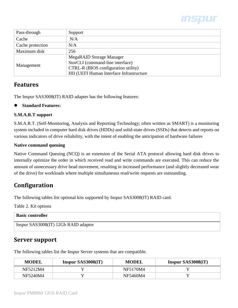

| Pass-through     | Support                                  |
|------------------|------------------------------------------|
| Cache            | N/A                                      |
| Cache protection | N/A                                      |
| Maximum disk     | 256                                      |
| Management       | <b>MegaRAID Storage Manager</b>          |
|                  | StorCLI (command-line interface)         |
|                  | CTRL-R (BIOS configuration utility)      |
|                  | HII (UEFI Human Interface Infrastructure |

### **Features**

The Inspur SAS3008(IT) RAID adapter has the following features:

#### **Standard Features:**

#### **S.M.A.R.T support**

S.M.A.R.T. (Self-Monitoring, Analysis and Reporting Technology; often written as SMART) is a monitoring system included in computer hard disk drives (HDDs) and solid-state drives (SSDs) that detects and reports on various indicators of drive reliability, with the intent of enabling the anticipation of hardware failures

#### **Native command queuing**

Native Command Queuing (NCQ) is an extension of the Serial ATA protocol allowing hard disk drives to internally optimize the order in which received read and write commands are executed. This can reduce the amount of unnecessary drive head movement, resulting in increased performance (and slightly decreased wear of the drive) for workloads where multiple simultaneous read/write requests are outstanding.

# **Configuration**

The following tables list optional kits supported by Inspur SAS3008(IT) RAID card.

Table 2. Kit options

| <b>Basic controller</b>              |
|--------------------------------------|
| Inspur SAS3008(IT) 12Gb RAID adaptor |

### **Server support**

The following tables list the Inspur Server systems that are compatible.

| <b>MODEL</b> | Inspur SAS3008(iT) | <b>MODEL</b> | Inspur SAS3008(iT) |
|--------------|--------------------|--------------|--------------------|
| NF5212M4     |                    | NF5170M4     |                    |
| NF5240M4     |                    | NF5460M4     |                    |